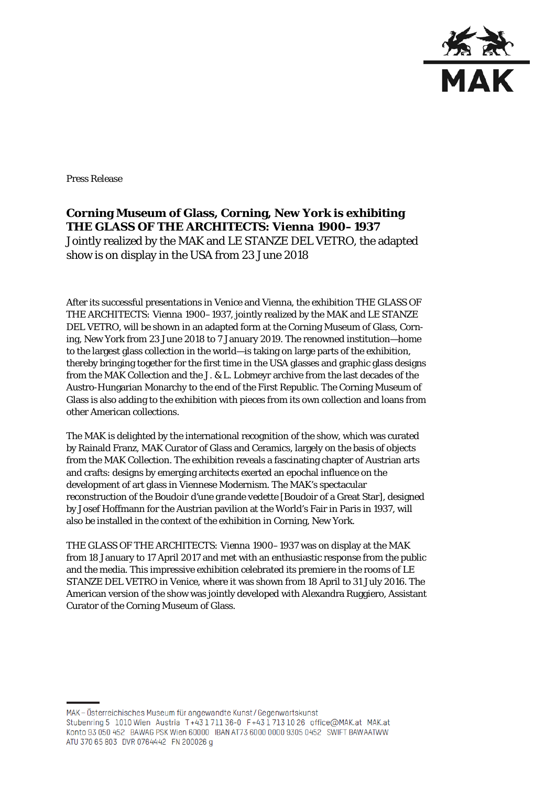

Press Release

**Corning Museum of Glass, Corning, New York is exhibiting** *THE GLASS OF THE ARCHITECTS: Vienna 1900–1937* Jointly realized by the MAK and LE STANZE DEL VETRO, the adapted show is on display in the USA from 23 June 2018

After its successful presentations in Venice and Vienna, the exhibition *THE GLASS OF THE ARCHITECTS: Vienna 1900–1937*, jointly realized by the MAK and LE STANZE DEL VETRO, will be shown in an adapted form at the Corning Museum of Glass, Corning, New York from 23 June 2018 to 7 January 2019. The renowned institution—home to the largest glass collection in the world—is taking on large parts of the exhibition, thereby bringing together for the first time in the USA glasses and graphic glass designs from the MAK Collection and the J. & L. Lobmeyr archive from the last decades of the Austro-Hungarian Monarchy to the end of the First Republic. The Corning Museum of Glass is also adding to the exhibition with pieces from its own collection and loans from other American collections.

The MAK is delighted by the international recognition of the show, which was curated by Rainald Franz, MAK Curator of Glass and Ceramics, largely on the basis of objects from the MAK Collection. The exhibition reveals a fascinating chapter of Austrian arts and crafts: designs by emerging architects exerted an epochal influence on the development of art glass in Viennese Modernism. The MAK's spectacular reconstruction of the *Boudoir d'une grande vedette* [Boudoir of a Great Star], designed by Josef Hoffmann for the Austrian pavilion at the World's Fair in Paris in 1937, will also be installed in the context of the exhibition in Corning, New York.

*THE GLASS OF THE ARCHITECTS: Vienna 1900–1937* was on display at the MAK from 18 January to 17 April 2017 and met with an enthusiastic response from the public and the media. This impressive exhibition celebrated its premiere in the rooms of LE STANZE DEL VETRO in Venice, where it was shown from 18 April to 31 July 2016. The American version of the show was jointly developed with Alexandra Ruggiero, Assistant Curator of the Corning Museum of Glass.

MAK-Österreichisches Museum für angewandte Kunst/Gegenwartskunst Stubenring 5 1010 Wien Austria T+43 1711 36-0 F+43 1713 10 26 office@MAK.at MAK.at Konto 93 050 452 BAWAG PSK Wien 60000 IBAN AT73 6000 0000 9305 0452 SWIFT BAWAATWW ATU 370 65 803 DVR 0764442 FN 200026 g